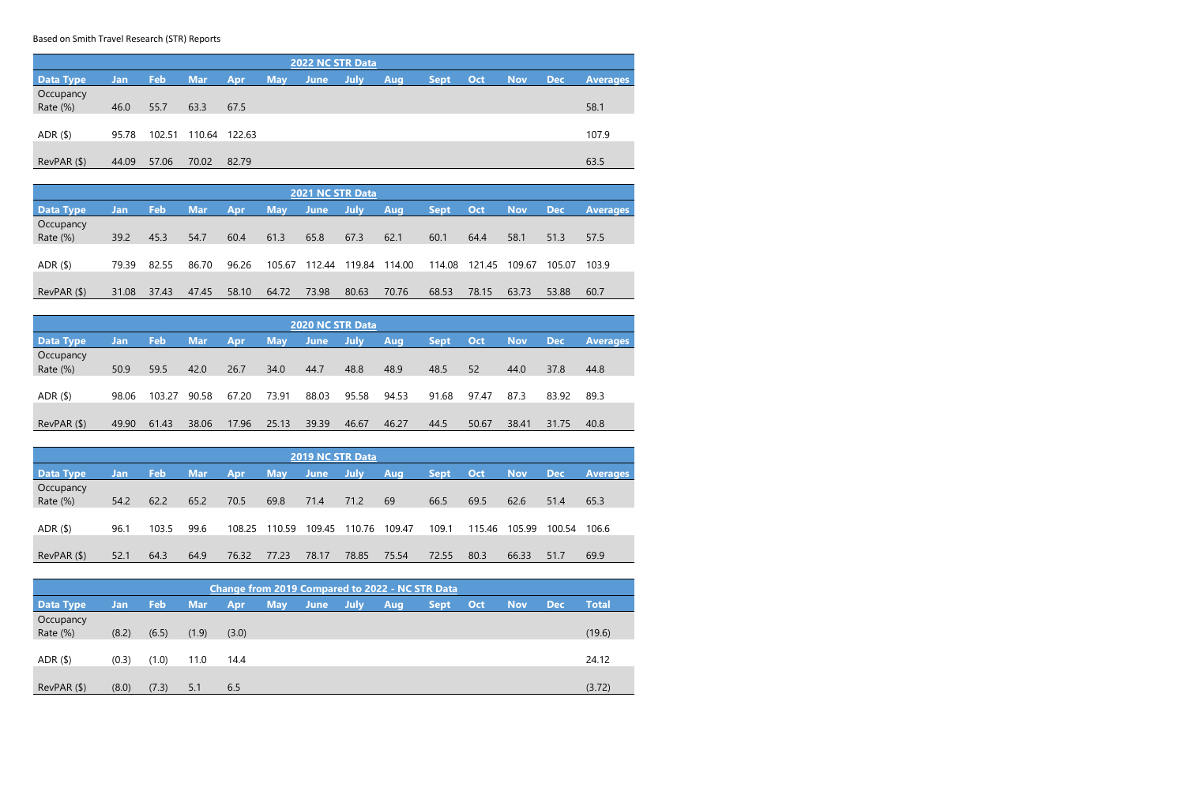Based on Smith Travel Research (STR) Reports

| <b>2022 NC STR Data</b>         |       |        |            |        |            |      |      |     |             |     |            |            |                 |
|---------------------------------|-------|--------|------------|--------|------------|------|------|-----|-------------|-----|------------|------------|-----------------|
| <b>Data Type</b>                | Jan   | Feb    | <b>Mar</b> | Apr    | <b>May</b> | June | July | Aug | <b>Sept</b> | Oct | <b>Nov</b> | <b>Dec</b> | <b>Averages</b> |
| Occupancy                       |       |        |            |        |            |      |      |     |             |     |            |            |                 |
| Rate (%)                        | 46.0  | 55.7   | 63.3       | 67.5   |            |      |      |     |             |     |            |            | 58.1            |
|                                 |       |        |            |        |            |      |      |     |             |     |            |            |                 |
| ADR <sub>(</sub> <sup>§</sup> ) | 95.78 | 102.51 | 110.64     | 122.63 |            |      |      |     |             |     |            |            | 107.9           |
|                                 |       |        |            |        |            |      |      |     |             |     |            |            |                 |
| RevPAR (\$)                     | 44.09 | 57.06  | 70.02      | 82.79  |            |      |      |     |             |     |            |            | 63.5            |

| 2021 NC STR Data |       |       |            |       |            |             |             |        |             |        |            |            |                 |
|------------------|-------|-------|------------|-------|------------|-------------|-------------|--------|-------------|--------|------------|------------|-----------------|
| <b>Data Type</b> | Jan   | Feb   | <b>Mar</b> | Apr   | <b>May</b> | <b>June</b> | <b>July</b> | Aug    | <b>Sept</b> | Oct    | <b>Nov</b> | <b>Dec</b> | <b>Averages</b> |
| Occupancy        |       |       |            |       |            |             |             |        |             |        |            |            |                 |
| Rate (%)         | 39.2  | 45.3  | 54.7       | 60.4  | 61.3       | 65.8        | 67.3        | 62.1   | 60.1        | 64.4   | 58.1       | 51.3       | 57.5            |
|                  |       |       |            |       |            |             |             |        |             |        |            |            |                 |
| $ADR($ \$)       | 79.39 | 82.55 | 86.70      | 96.26 | 105.67     | 112.44      | 119.84      | 114.00 | 114.08      | 121.45 | 109.67     | 105.07     | 103.9           |
|                  |       |       |            |       |            |             |             |        |             |        |            |            |                 |
| RevPAR ( \$ )    | 31.08 | 37.43 | 47.45      | 58.10 | 64.72      | 73.98       | 80.63       | 70.76  | 68.53       | 78.15  | 63.73      | 53.88      | 60.7            |

| <b>2020 NC STR Data</b> |       |        |            |            |            |             |             |       |             |       |            |            |                 |
|-------------------------|-------|--------|------------|------------|------------|-------------|-------------|-------|-------------|-------|------------|------------|-----------------|
| <b>Data Type</b>        | Jan   | Feb    | <b>Mar</b> | <b>Apr</b> | <b>May</b> | <b>June</b> | <b>July</b> | Aug   | <b>Sept</b> | Oct   | <b>Nov</b> | <b>Dec</b> | <b>Averages</b> |
| Occupancy               |       |        |            |            |            |             |             |       |             |       |            |            |                 |
| Rate (%)                | 50.9  | 59.5   | 42.0       | 26.7       | 34.0       | 44.7        | 48.8        | 48.9  | 48.5        | 52    | 44.0       | 37.8       | 44.8            |
|                         |       |        |            |            |            |             |             |       |             |       |            |            |                 |
| $ADR($ \$)              | 98.06 | 103.27 | 90.58      | 67.20      | 73.91      | 88.03       | 95.58       | 94.53 | 91.68       | 97.47 | 87.3       | 83.92      | 89.3            |
|                         |       |        |            |            |            |             |             |       |             |       |            |            |                 |
| RevPAR ( \$ )           | 49.90 | 61.43  | 38.06      | 17.96      | 25.13      | 39.39       | 46.67       | 46.27 | 44.5        | 50.67 | 38.41      | 31.75      | 40.8            |

| <b>2019 NC STR Data</b> |      |       |            |            |            |        |             |        |             |        |            |            |                 |
|-------------------------|------|-------|------------|------------|------------|--------|-------------|--------|-------------|--------|------------|------------|-----------------|
| <b>Data Type</b>        | Jan  | Feb   | <b>Mar</b> | <b>Apr</b> | <b>May</b> | /June  | <b>July</b> | Aug    | <b>Sept</b> | Oct    | <b>Nov</b> | <b>Dec</b> | <b>Averages</b> |
| Occupancy<br>Rate (%)   | 54.2 | 62.2  | 65.2       | 70.5       | 69.8       | 71.4   | 71.2        | 69     | 66.5        | 69.5   | 62.6       | 51.4       | 65.3            |
| ADR $($ \$)             | 96.1 | 103.5 | 99.6       | 108.25     | 110.59     | 109.45 | 110.76      | 109.47 | 109.1       | 115.46 | 105.99     | 100.54     | 106.6           |
| RevPAR ( \$ )           | 52.1 | 64.3  | 64.9       | 76.32      | 77.23      | 78.17  | 78.85       | 75.54  | 72.55       | 80.3   | 66.33      | 51.7       | 69.9            |

| <b>Change from 2019 Compared to 2022 - NC STR Data</b> |       |       |       |       |            |             |             |     |             |     |            |            |              |
|--------------------------------------------------------|-------|-------|-------|-------|------------|-------------|-------------|-----|-------------|-----|------------|------------|--------------|
| <b>Data Type</b>                                       | Jan   | Feb   | Mar   | Apr   | <b>May</b> | <b>June</b> | <b>July</b> | Aug | <b>Sept</b> | Oct | <b>Nov</b> | <b>Dec</b> | <b>Total</b> |
| Occupancy<br>Rate (%)                                  | (8.2) | (6.5) | (1.9) | (3.0) |            |             |             |     |             |     |            |            | (19.6)       |
| ADR $($ \$)                                            | (0.3) | (1.0) | 11.0  | 14.4  |            |             |             |     |             |     |            |            | 24.12        |
| RevPAR ( \$ )                                          | (8.0) | (7.3) | 5.1   | 6.5   |            |             |             |     |             |     |            |            | (3.72)       |